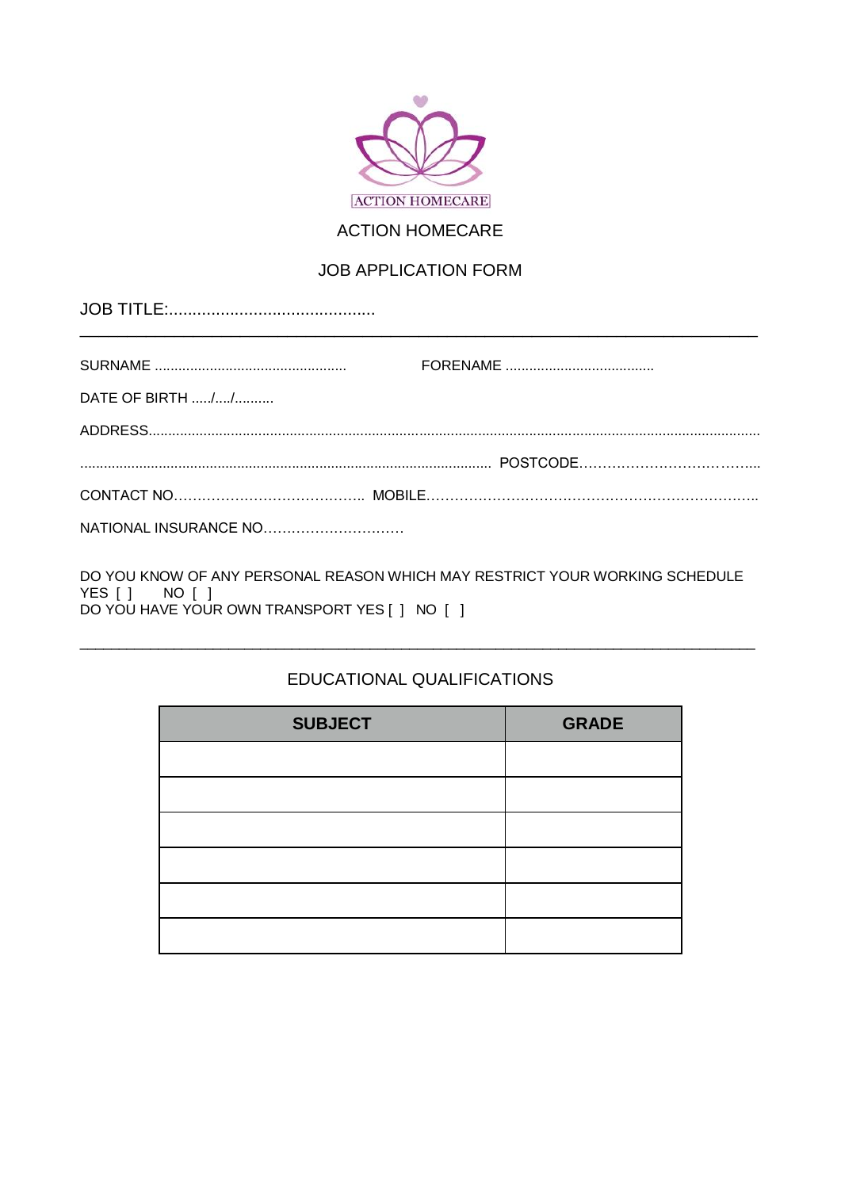

#### **ACTION HOMECARE**

#### **JOB APPLICATION FORM**

| DATE OF BIRTH // |  |
|------------------|--|
|                  |  |
|                  |  |
|                  |  |
|                  |  |

DO YOU KNOW OF ANY PERSONAL REASON WHICH MAY RESTRICT YOUR WORKING SCHEDULE YES [ ] NO [ ]<br>DO YOU HAVE YOUR OWN TRANSPORT YES [ ] NO [ ]

#### EDUCATIONAL QUALIFICATIONS

| <b>SUBJECT</b> | <b>GRADE</b> |
|----------------|--------------|
|                |              |
|                |              |
|                |              |
|                |              |
|                |              |
|                |              |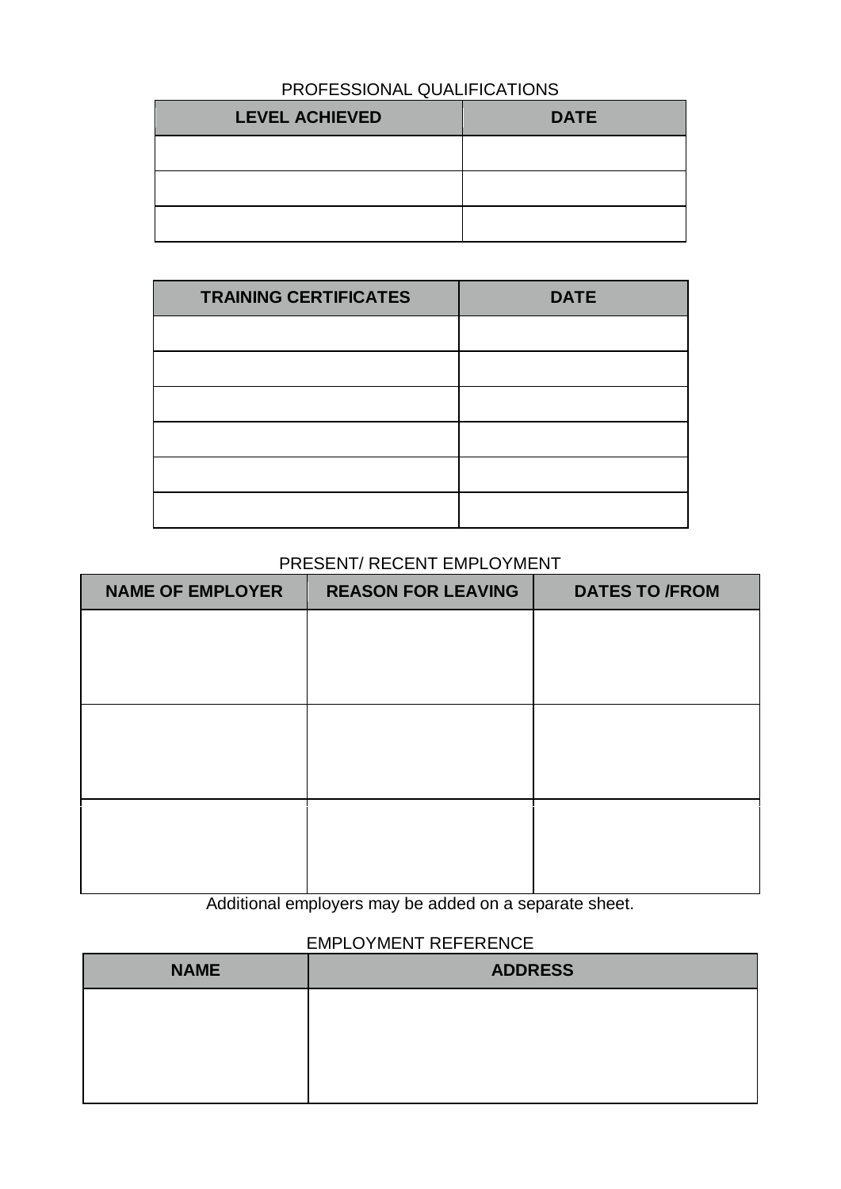# PROFESSIONAL QUALIFICATIONS

| <b>LEVEL ACHIEVED</b> | <b>DATE</b> |
|-----------------------|-------------|
|                       |             |
|                       |             |
|                       |             |

| <b>TRAINING CERTIFICATES</b> | <b>DATE</b> |
|------------------------------|-------------|
|                              |             |
|                              |             |
|                              |             |
|                              |             |
|                              |             |
|                              |             |

#### PRESENT/ RECENT EMPLOYMENT

| <b>NAME OF EMPLOYER</b> | <b>REASON FOR LEAVING</b> | <b>DATES TO /FROM</b> |
|-------------------------|---------------------------|-----------------------|
|                         |                           |                       |
|                         |                           |                       |
|                         |                           |                       |
|                         |                           |                       |
|                         |                           |                       |
|                         |                           |                       |
|                         |                           |                       |
|                         |                           |                       |
|                         |                           |                       |

Additional employers may be added on a separate sheet.

# EMPLOYMENT REFERENCE

| <b>NAME</b> | <b>ADDRESS</b> |  |
|-------------|----------------|--|
|             |                |  |
|             |                |  |
|             |                |  |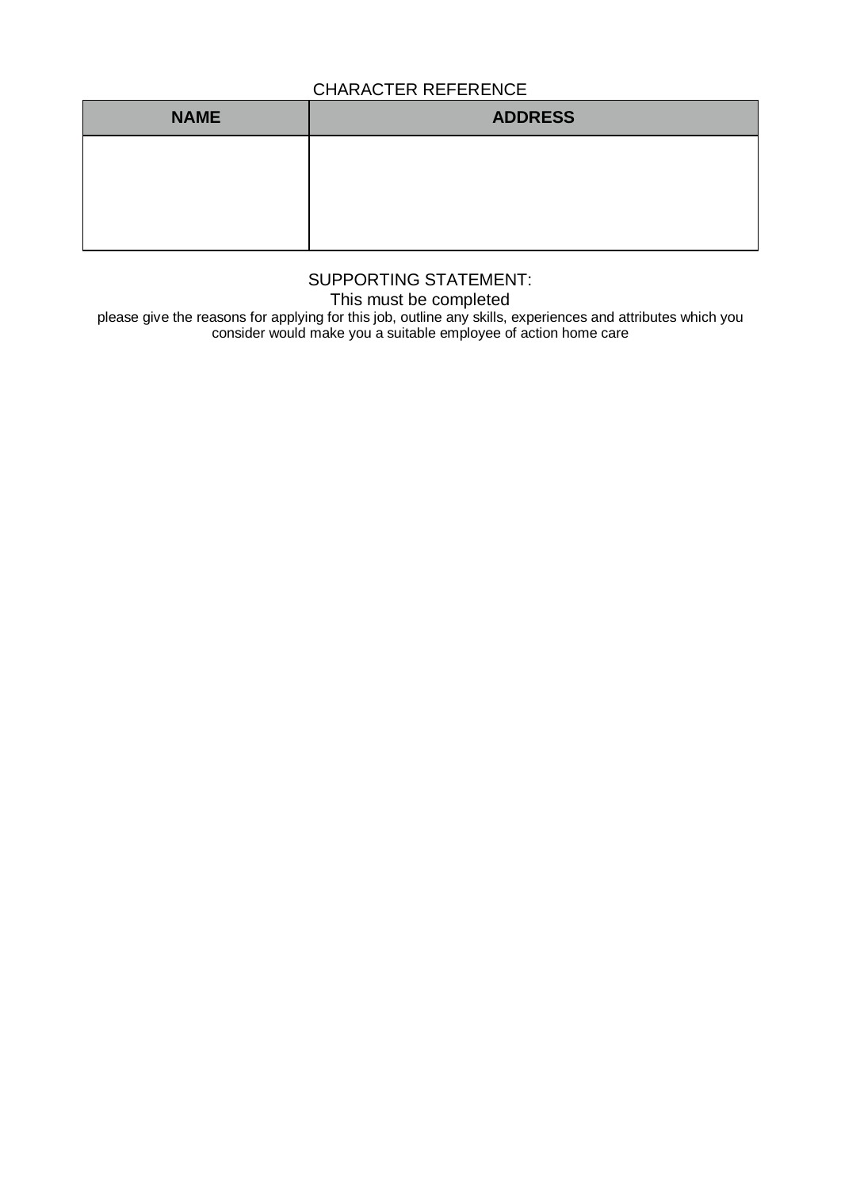### CHARACTER REFERENCE

| <b>NAME</b> | <b>ADDRESS</b> |  |  |
|-------------|----------------|--|--|
|             |                |  |  |
|             |                |  |  |
|             |                |  |  |

# SUPPORTING STATEMENT:

This must be completed

please give the reasons for applying for this job, outline any skills, experiences and attributes which you consider would make you a suitable employee of action home care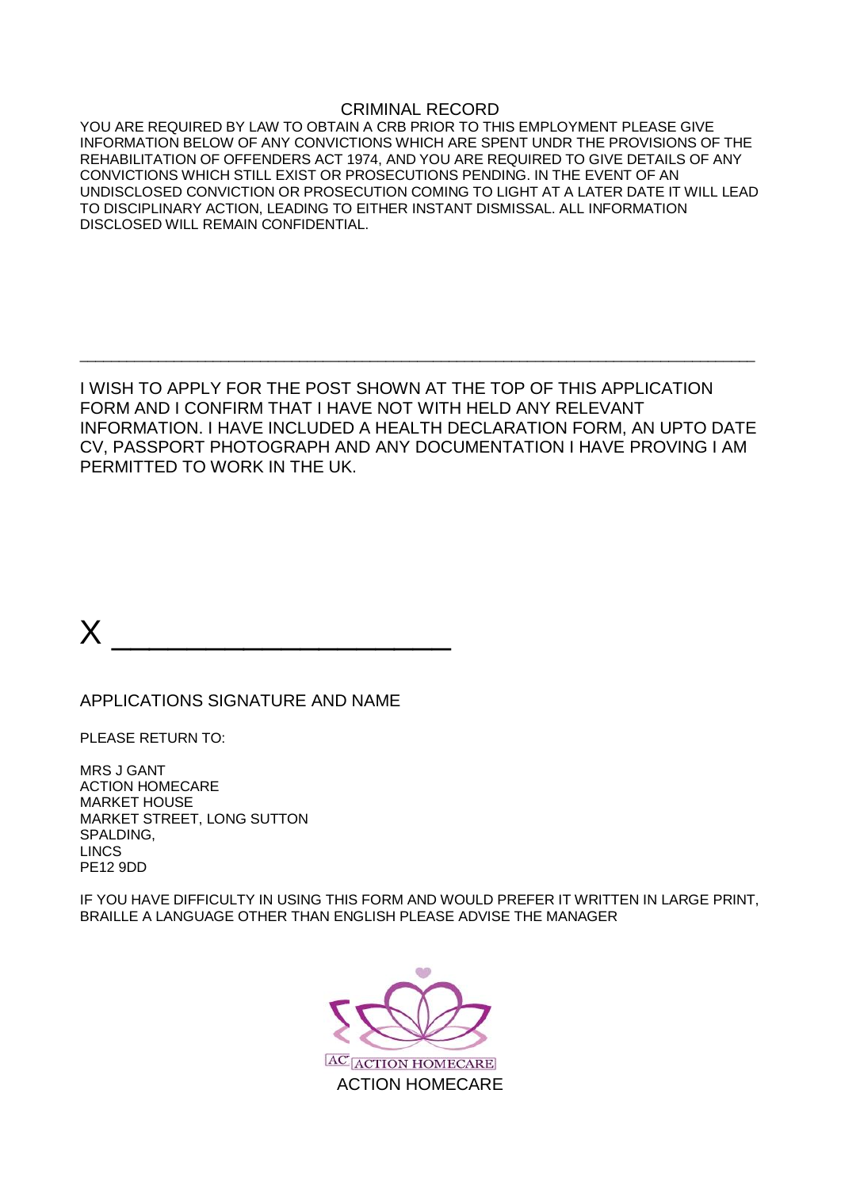#### CRIMINAL RECORD

YOU ARE REQUIRED BY LAW TO OBTAIN A CRB PRIOR TO THIS EMPLOYMENT PLEASE GIVE INFORMATION BELOW OF ANY CONVICTIONS WHICH ARE SPENT UNDR THE PROVISIONS OF THE REHABILITATION OF OFFENDERS ACT 1974, AND YOU ARE REQUIRED TO GIVE DETAILS OF ANY CONVICTIONS WHICH STILL EXIST OR PROSECUTIONS PENDING. IN THE EVENT OF AN UNDISCLOSED CONVICTION OR PROSECUTION COMING TO LIGHT AT A LATER DATE IT WILL LEAD TO DISCIPLINARY ACTION, LEADING TO EITHER INSTANT DISMISSAL. ALL INFORMATION DISCLOSED WILL REMAIN CONFIDENTIAL.

I WISH TO APPLY FOR THE POST SHOWN AT THE TOP OF THIS APPLICATION FORM AND I CONFIRM THAT I HAVE NOT WITH HELD ANY RELEVANT INFORMATION. I HAVE INCLUDED A HEALTH DECLARATION FORM, AN UPTO DATE CV, PASSPORT PHOTOGRAPH AND ANY DOCUMENTATION I HAVE PROVING I AM PERMITTED TO WORK IN THE UK.

 $\_$  , and the set of the set of the set of the set of the set of the set of the set of the set of the set of the set of the set of the set of the set of the set of the set of the set of the set of the set of the set of th

 $X \xrightarrow{\hspace*{1.5cm}}$ 

APPLICATIONS SIGNATURE AND NAME

PLEASE RETURN TO:

MRS J GANT ACTION HOMECARE MARKET HOUSE MARKET STREET, LONG SUTTON SPALDING, LINCS PE12 9DD

IF YOU HAVE DIFFICULTY IN USING THIS FORM AND WOULD PREFER IT WRITTEN IN LARGE PRINT, BRAILLE A LANGUAGE OTHER THAN ENGLISH PLEASE ADVISE THE MANAGER